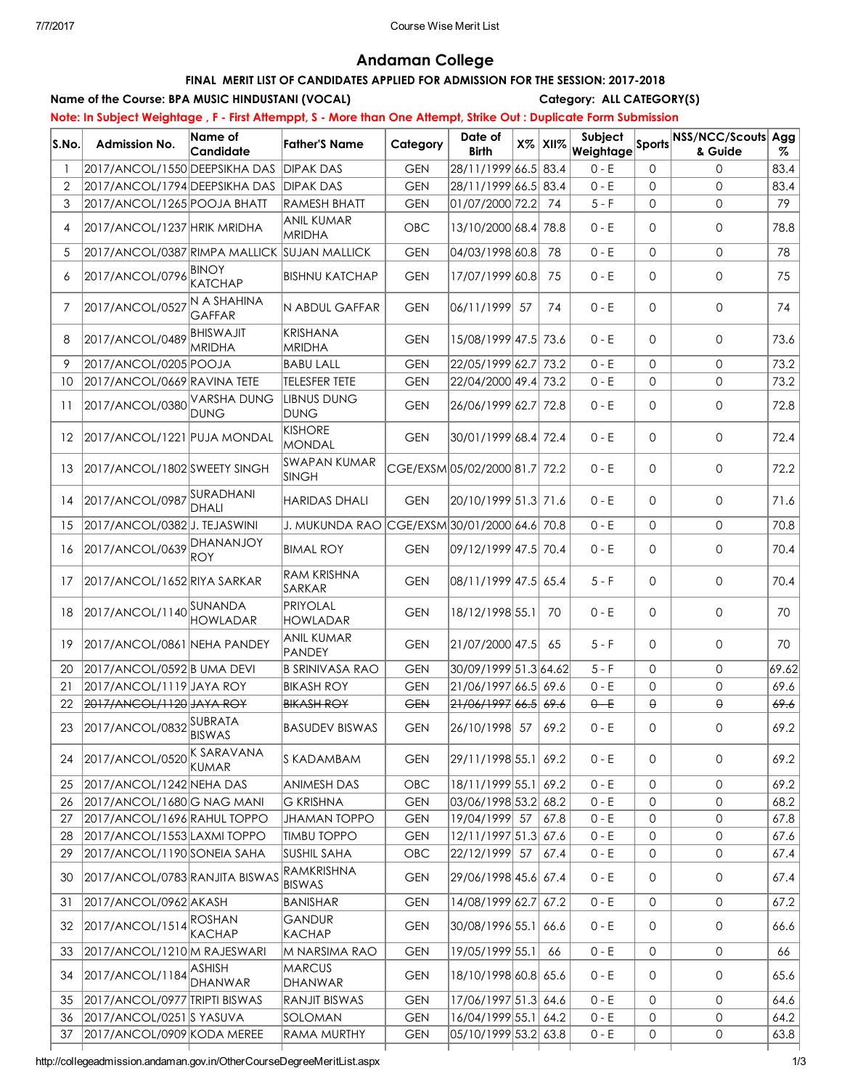# Andaman College

# FINAL MERIT LIST OF CANDIDATES APPLIED FOR ADMISSION FOR THE SESSION: 2017-2018

#### Name of the Course: BPA MUSIC HINDUSTANI (VOCAL) Category: ALL CATEGORY(S)

Note: In Subject Weightage, F - First Attemppt, S - More than One Attempt, Strike Out : Duplicate Form Submission

| S.No. | <b>Admission No.</b>                        | Name of<br>Candidate                           | Father'S Name                                | Category   | Date of<br><b>Birth</b>      | $X\%$ | XII% | Subject<br>Weightage |              | Sports NSS/NCC/Scouts Agg<br>& Guide | %     |
|-------|---------------------------------------------|------------------------------------------------|----------------------------------------------|------------|------------------------------|-------|------|----------------------|--------------|--------------------------------------|-------|
|       | 2017/ANCOL/1550 DEEPSIKHA DAS               |                                                | <b>DIPAK DAS</b>                             | <b>GEN</b> | 28/11/1999 66.5 83.4         |       |      | $0 - E$              | 0            | $\Omega$                             | 83.4  |
| 2     | 2017/ANCOL/1794 DEEPSIKHA DAS               |                                                | <b>DIPAK DAS</b>                             | <b>GEN</b> | 28/11/1999 66.5 83.4         |       |      | $0 - E$              | 0            | $\mathbf{0}$                         | 83.4  |
| 3     | 2017/ANCOL/1265 POOJA BHATT                 |                                                | <b>RAMESH BHATT</b>                          | <b>GEN</b> | 01/07/2000 72.2              |       | 74   | $5-F$                | 0            | $\mathbf{0}$                         | 79    |
| 4     | 2017/ANCOL/1237 HRIK MRIDHA                 |                                                | <b>ANIL KUMAR</b><br><b>MRIDHA</b>           | OBC        | 13/10/2000 68.4 78.8         |       |      | $0 - E$              | 0            | 0                                    | 78.8  |
| 5     | 2017/ANCOL/0387 RIMPA MALLICK SUJAN MALLICK |                                                |                                              | <b>GEN</b> | 04/03/1998 60.8              |       | 78   | $0 - E$              | $\mathbf{0}$ | $\mathbf{0}$                         | 78    |
| 6     | 2017/ANCOL/0796 BINOY                       | KATCHAP                                        | <b>BISHNU KATCHAP</b>                        | <b>GEN</b> | 17/07/1999 60.8              |       | 75   | $0 - E$              | 0            | 0                                    | 75    |
| 7     | 2017/ANCOL/0527                             | N A SHAHINA<br><b>GAFFAR</b>                   | <b>N ABDUL GAFFAR</b>                        | <b>GEN</b> | 06/11/1999 57                |       | 74   | $0 - E$              | 0            | $\mathbf{0}$                         | 74    |
| 8     | 2017/ANCOL/0489 BHISWAJIT                   | <b>MRIDHA</b>                                  | KRISHANA<br><b>MRIDHA</b>                    | <b>GEN</b> | 15/08/1999 47.5 73.6         |       |      | $0 - E$              | 0            | 0                                    | 73.6  |
| 9     | 2017/ANCOL/0205 POOJA                       |                                                | <b>BABU LALL</b>                             | <b>GEN</b> | 22/05/1999 62.7 73.2         |       |      | $0 - E$              | 0            | $\mathbf{0}$                         | 73.2  |
| 10    | 2017/ANCOL/0669 RAVINA TETE                 |                                                | <b>TELESFER TETE</b>                         | <b>GEN</b> | 22/04/2000 49.4 73.2         |       |      | $0 - E$              | 0            | $\mathbf{0}$                         | 73.2  |
| 11    | 2017/ANCOL/0380 VARSHA DUNG                 | <b>DUNG</b>                                    | LIBNUS DUNG<br><b>DUNG</b>                   | <b>GEN</b> | 26/06/1999 62.7 72.8         |       |      | $0 - E$              | 0            | $\mathsf{O}$                         | 72.8  |
| 12    | 2017/ANCOL/1221 PUJA MONDAL                 |                                                | <b>KISHORE</b><br>MONDAL                     | <b>GEN</b> | 30/01/1999 68.4 72.4         |       |      | $0 - E$              | 0            | 0                                    | 72.4  |
| 13    | 2017/ANCOL/1802 SWEETY SINGH                |                                                | SWAPAN KUMAR<br><b>SINGH</b>                 |            | CGE/EXSM05/02/2000 81.7 72.2 |       |      | $0 - E$              | 0            | 0                                    | 72.2  |
| 14    | 2017/ANCOL/0987 SURADHANI<br>DHALI          |                                                | <b>HARIDAS DHALI</b>                         | <b>GEN</b> | 20/10/1999 51.3  71.6        |       |      | $0 - E$              | 0            | $\mathsf{O}$                         | 71.6  |
| 15    | 2017/ANCOL/0382 J. TEJASWINI                |                                                | J. MUKUNDA RAO CGE/EXSM 30/01/2000 64.6 70.8 |            |                              |       |      | $0 - E$              | 0            | $\mathbf{0}$                         | 70.8  |
| 16    | 2017/ANCOL/0639 DHANANJOY<br>IROY           |                                                | <b>BIMAL ROY</b>                             | <b>GEN</b> | 09/12/1999 47.5 70.4         |       |      | $0 - E$              | 0            | 0                                    | 70.4  |
| 17    | 2017/ANCOL/1652 RIYA SARKAR                 |                                                | RAM KRISHNA<br>SARKAR                        | <b>GEN</b> | 08/11/1999 47.5 65.4         |       |      | $5 - F$              | 0            | $\mathbf{0}$                         | 70.4  |
| 18    | 2017/ANCOL/1140 SUNANDA                     | PRIYOLAL<br><b>HOWLADAR</b><br><b>HOWLADAR</b> |                                              | <b>GEN</b> | 18/12/1998 55.1              |       | 70   | $0 - E$              | 0            | $\mathbf{0}$                         | 70    |
| 19    | 2017/ANCOL/0861 NEHA PANDEY                 |                                                | <b>ANIL KUMAR</b><br>PANDEY                  | <b>GEN</b> | 21/07/2000 47.5              |       | 65   | $5-F$                | 0            | $\mathbf{0}$                         | 70    |
| 20    | 2017/ANCOL/0592 B UMA DEVI                  |                                                | <b>B SRINIVASA RAO</b>                       | <b>GEN</b> | 30/09/1999 51.3 64.62        |       |      | $5 - F$              | 0            | $\mathbf 0$                          | 69.62 |
| 21    |                                             | 2017/ANCOL/1119 JAYA ROY                       |                                              | <b>GEN</b> | 21/06/1997 66.5 69.6         |       |      | $0 - E$              | 0            | $\mathbf{0}$                         | 69.6  |
| 22    | 2017/ANCOL/1120 JAYA ROY                    |                                                | <b>BIKASH ROY</b>                            | <b>GEN</b> | 21/06/1997 66.5 69.6         |       |      | $0 - E$              | $\Theta$     | $\Theta$                             | 69.6  |
| 23    | 2017/ANCOL/0832 SUBRATA                     |                                                | <b>BASUDEV BISWAS</b>                        | <b>GEN</b> | 26/10/1998 57                |       | 69.2 | $0 - E$              | 0            | $\mathsf{O}\xspace$                  | 69.2  |
| 24    | 2017/ANCOL/0520 K SARAVANA                  | KUMAR                                          | S KADAMBAM                                   | <b>GEN</b> | 29/11/1998 55.1 69.2         |       |      | $0 - E$              | 0            | 0                                    | 69.2  |
| 25    | 2017/ANCOL/1242 NEHA DAS                    |                                                | <b>ANIMESH DAS</b>                           | OBC        | 18/11/1999 55.1              |       | 69.2 | $0 - E$              | 0            | 0                                    | 69.2  |
| 26    | 2017/ANCOL/1680 G NAG MANI                  |                                                | <b>G KRISHNA</b>                             | <b>GEN</b> | 03/06/1998 53.2 68.2         |       |      | $0 - E$              | 0            | 0                                    | 68.2  |
| 27    | 2017/ANCOL/1696 RAHUL TOPPO                 |                                                | <b>JHAMAN TOPPO</b>                          | <b>GEN</b> | 19/04/1999 57                |       | 67.8 | $0 - E$              | 0            | 0                                    | 67.8  |
| 28    | 2017/ANCOL/1553 LAXMI TOPPO                 |                                                | <b>TIMBU TOPPO</b>                           | <b>GEN</b> | 12/11/1997 51.3 67.6         |       |      | $0 - E$              | 0            | 0                                    | 67.6  |
| 29    | 2017/ANCOL/1190 SONEIA SAHA                 |                                                | <b>SUSHIL SAHA</b>                           | OBC        | 22/12/1999 57                |       | 67.4 | $0 - E$              | 0            | $\mathbf{O}$                         | 67.4  |
| 30    | 2017/ANCOL/0783 RANJITA BISWAS              |                                                | RAMKRISHNA<br><b>BISWAS</b>                  | <b>GEN</b> | 29/06/1998 45.6 67.4         |       |      | $0 - E$              | 0            | 0                                    | 67.4  |
| 31    | 2017/ANCOL/0962 AKASH                       |                                                | BANISHAR                                     | <b>GEN</b> | 14/08/1999 62.7              |       | 67.2 | $0 - E$              | 0            | 0                                    | 67.2  |
| 32    | 2017/ANCOL/1514 ROSHAN                      | KACHAP                                         | <b>GANDUR</b><br><b>KACHAP</b>               | <b>GEN</b> | 30/08/1996 55.1              |       | 66.6 | $0 - E$              | 0            | 0                                    | 66.6  |
| 33    | 2017/ANCOL/1210 M RAJESWARI                 |                                                | M NARSIMA RAO                                | <b>GEN</b> | 19/05/1999 55.1              |       | 66   | $0 - E$              | 0            | 0                                    | 66    |
| 34    | 2017/ANCOL/1184 ASHISH                      | <b>DHANWAR</b>                                 | <b>MARCUS</b><br>DHANWAR                     | <b>GEN</b> | 18/10/1998 60.8 65.6         |       |      | $0 - E$              | 0            | 0                                    | 65.6  |
| 35    | 2017/ANCOL/0977 TRIPTI BISWAS               |                                                | <b>RANJIT BISWAS</b>                         | <b>GEN</b> | 17/06/1997 51.3 64.6         |       |      | $0 - E$              | 0            | 0                                    | 64.6  |
| 36    | 2017/ANCOL/0251 S YASUVA                    |                                                | SOLOMAN                                      | <b>GEN</b> | 16/04/1999 55.1 64.2         |       |      | $0 - E$              | 0            | 0                                    | 64.2  |
| 37    | 2017/ANCOL/0909 KODA MEREE                  |                                                | RAMA MURTHY                                  | <b>GEN</b> | 05/10/1999 53.2 63.8         |       |      | $0 - E$              | 0            | 0                                    | 63.8  |
|       |                                             |                                                |                                              |            |                              |       |      |                      |              |                                      |       |

http://collegeadmission.andaman.gov.in/OtherCourseDegreeMeritList.aspx 1/3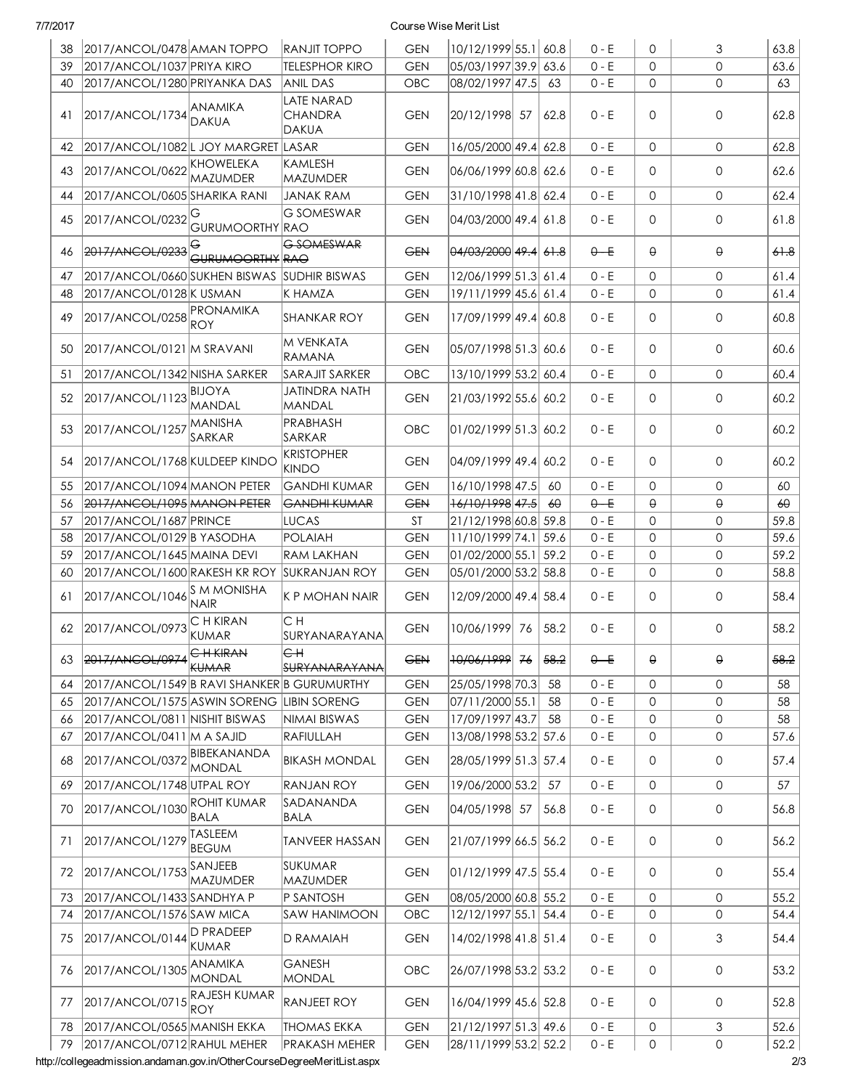| 38 | 2017/ANCOL/0478 AMAN TOPPO                   |                                  | <b>RANJIT TOPPO</b>                          | <b>GEN</b> | 10/12/1999 55.1 60.8       |    |                      | $0 - E$ | 0            | 3            | 63.8      |
|----|----------------------------------------------|----------------------------------|----------------------------------------------|------------|----------------------------|----|----------------------|---------|--------------|--------------|-----------|
| 39 | 2017/ANCOL/1037 PRIYA KIRO                   |                                  | <b>TELESPHOR KIRO</b>                        | <b>GEN</b> | 05/03/1997 39.9 63.6       |    |                      | $0 - E$ | $\Omega$     | $\mathbf 0$  | 63.6      |
| 40 | 2017/ANCOL/1280 PRIYANKA DAS                 |                                  | <b>ANIL DAS</b>                              | <b>OBC</b> | 08/02/1997 47.5            |    | 63                   | $0 - E$ | $\mathbf{0}$ | $\mathbf{0}$ | 63        |
| 41 | 2017/ANCOL/1734 ANAMIKA                      |                                  | <b>LATE NARAD</b><br><b>CHANDRA</b><br>DAKUA | <b>GEN</b> | 20/12/1998 57              |    | 62.8                 | $0 - E$ | 0            | $\mathbf 0$  | 62.8      |
| 42 | 2017/ANCOL/1082L JOY MARGRET LASAR           |                                  |                                              | <b>GEN</b> | 16/05/2000 49.4 62.8       |    |                      | $0 - E$ | $\mathbf{0}$ | $\mathbf{0}$ | 62.8      |
| 43 | 2017/ANCOL/0622 KHOWELEKA                    | <b>MAZUMDER</b>                  | KAMLESH<br>MAZUMDER                          | <b>GEN</b> | 06/06/1999 60.8 62.6       |    |                      | $0 - E$ | 0            | $\mathbf{0}$ | 62.6      |
| 44 | 2017/ANCOL/0605 SHARIKA RANI                 |                                  | <b>JANAK RAM</b>                             | <b>GEN</b> | 31/10/1998 41.8 62.4       |    |                      | $0 - E$ | $\mathsf{O}$ | $\mathbf{0}$ | 62.4      |
| 45 | 2017/ANCOL/0232                              | GURUMOORTHY RAO                  | <b>G SOMESWAR</b>                            | <b>GEN</b> | 04/03/2000 49.4 61.8       |    |                      | $0 - E$ | 0            | $\mathbf 0$  | 61.8      |
| 46 | 2017/ANCOL/0233                              | <b>GURUMOORTHY RAO</b>           | G SOMESWAR                                   | <b>GEN</b> |                            |    |                      | $0 - E$ | $\Theta$     | $\Theta$     | 61.8      |
| 47 | 2017/ANCOL/0660 SUKHEN BISWAS  SUDHIR BISWAS |                                  |                                              | <b>GEN</b> | 12/06/1999 51.3 61.4       |    |                      | $0 - E$ | 0            | 0            | 61.4      |
| 48 | 2017/ANCOL/0128 K USMAN                      |                                  | K HAMZA                                      | <b>GEN</b> | 19/11/1999 45.6 61.4       |    |                      | $0 - E$ | 0            | $\Omega$     | 61.4      |
| 49 | 2017/ANCOL/0258 PRONAMIKA                    | <b>ROY</b>                       | <b>SHANKAR ROY</b>                           | <b>GEN</b> | 17/09/1999 49.4 60.8       |    |                      | $0 - E$ | 0            | $\mathbf{0}$ | 60.8      |
| 50 | 2017/ANCOL/0121 M SRAVANI                    |                                  | M VENKATA<br><b>RAMANA</b>                   | <b>GEN</b> | $ 05/07/1998 51.3 $ 60.6   |    |                      | $0 - E$ | 0            | $\mathbf{0}$ | 60.6      |
| 51 | 2017/ANCOL/1342 NISHA SARKER                 |                                  | <b>SARAJIT SARKER</b>                        | <b>OBC</b> | 13/10/1999 53.2 60.4       |    |                      | $0 - E$ | 0            | $\mathsf O$  | 60.4      |
| 52 | 2017/ANCOL/1123                              | <b>BIJOYA</b><br>MANDAL          | <b>JATINDRA NATH</b><br>MANDAL               | <b>GEN</b> | 21/03/1992 55.6 60.2       |    |                      | $0 - E$ | 0            | $\mathbf{0}$ | 60.2      |
| 53 | 2017/ANCOL/1257                              | <b>MANISHA</b><br>SARKAR         | PRABHASH<br>SARKAR                           | OBC        | 01/02/1999 51.3 60.2       |    |                      | $0 - E$ | $\mathbf{0}$ | $\mathbf 0$  | 60.2      |
| 54 | 2017/ANCOL/1768 KULDEEP KINDO                |                                  | <b>KRISTOPHER</b><br><b>KINDO</b>            | <b>GEN</b> | 04/09/1999 49.4 60.2       |    |                      | $0 - E$ | 0            | $\mathbf{0}$ | 60.2      |
| 55 | 2017/ANCOL/1094 MANON PETER                  |                                  | <b>GANDHI KUMAR</b>                          | <b>GEN</b> | 16/10/1998 47.5            |    | 60                   | $0 - E$ | $\mathbf{0}$ | $\mathbf{0}$ | 60        |
| 56 | 2017/ANCOL/1095 MANON PETER                  |                                  | <b>GANDHI KUMAR</b>                          | <b>GEN</b> | <del>16/10/1998</del> 47.5 |    | 60                   | $0 - E$ | $\Theta$     | $\Theta$     | $6\theta$ |
| 57 | 2017/ANCOL/1687 PRINCE                       |                                  | LUCAS                                        | <b>ST</b>  | 21/12/1998 60.8 59.8       |    |                      | $0 - E$ | 0            | $\mathbf 0$  | 59.8      |
| 58 | 2017/ANCOL/0129 B YASODHA                    |                                  | POLAIAH                                      | <b>GEN</b> | 11/10/1999 74.1 59.6       |    |                      | $0 - E$ | $\mathsf{O}$ | $\mathbf{O}$ | 59.6      |
| 59 | 2017/ANCOL/1645 MAINA DEVI                   |                                  | <b>RAM LAKHAN</b>                            | <b>GEN</b> | 01/02/2000 55.1 59.2       |    |                      | $0 - E$ | $\mathsf{O}$ | $\mathbf 0$  | 59.2      |
| 60 | 2017/ANCOL/1600 RAKESH KR ROY                |                                  | <b>SUKRANJAN ROY</b>                         | <b>GEN</b> | 05/01/2000 53.2 58.8       |    |                      | $0 - E$ | 0            | $\mathbf{0}$ | 58.8      |
| 61 | 2017/ANCOL/1046 S M MONISHA                  | <b>NAIR</b>                      | K P MOHAN NAIR                               | <b>GEN</b> | 12/09/2000 49.4 58.4       |    |                      | $0 - E$ | 0            | 0            | 58.4      |
| 62 | 2017/ANCOL/0973                              | C H KIRAN<br>KUMAR               | CН<br>SURYANARAYANA                          | <b>GEN</b> | 10/06/1999 76              |    | 58.2                 | $0 - E$ | $\mathbf{0}$ | $\mathbf 0$  | 58.2      |
| 63 | 2017/ANCOL/0974                              | <b>CH KIRAN</b><br><b>KUMAR</b>  | $ \epsilon$ H<br><del>SURYANARAYANA</del>    | <b>GEN</b> | 10/06/1999                 | 76 | <del>58.2</del>      | $0 - E$ | $\Theta$     | $\Theta$     | 58.2      |
| 64 | 2017/ANCOL/1549 B RAVI SHANKER B GURUMURTHY  |                                  |                                              | <b>GEN</b> | 25/05/1998 70.3            |    | 58                   | $0 - E$ | 0            | 0            | 58        |
| 65 | 2017/ANCOL/1575 ASWIN SORENG LIBIN SORENG    |                                  |                                              | <b>GEN</b> | 07/11/2000 55.1            |    | 58                   | $0 - E$ | 0            | $\mathbf{O}$ | 58        |
| 66 | 2017/ANCOL/0811 NISHIT BISWAS                |                                  | NIMAI BISWAS                                 | <b>GEN</b> | 17/09/1997 43.7            |    | 58                   | $0 - E$ | 0            | $\mathbf 0$  | 58        |
| 67 | 2017/ANCOL/0411   M A SAJID                  |                                  | RAFIULLAH                                    | <b>GEN</b> | 13/08/1998 53.2 57.6       |    |                      | $0 - E$ | 0            | 0            | 57.6      |
| 68 | 2017/ANCOL/0372                              | BIBEKANANDA<br>MONDAL            | <b>BIKASH MONDAL</b>                         | <b>GEN</b> | 28/05/1999 51.3 57.4       |    |                      | $0 - E$ | 0            | $\mathbf 0$  | 57.4      |
| 69 | 2017/ANCOL/1748 UTPAL ROY                    |                                  | <b>RANJAN ROY</b>                            | <b>GEN</b> | 19/06/2000 53.2            |    | 57                   | $0 - E$ | $\mathbf{0}$ | $\mathbf{0}$ | 57        |
| 70 | 2017/ANCOL/1030                              | ROHIT KUMAR<br><b>BALA</b>       | SADANANDA<br><b>BALA</b>                     | <b>GEN</b> | 04/05/1998 57              |    | 56.8                 | $0 - E$ | 0            | $\mathbf 0$  | 56.8      |
| 71 | 2017/ANCOL/1279                              | <b>TASLEEM</b><br><b>BEGUM</b>   | <b>TANVEER HASSAN</b>                        | <b>GEN</b> | 21/07/1999 66.5 56.2       |    |                      | $0 - E$ | 0            | $\mathbf 0$  | 56.2      |
| 72 | 2017/ANCOL/1753                              | SANJEEB<br><b>MAZUMDER</b>       | <b>SUKUMAR</b><br>MAZUMDER                   | <b>GEN</b> | 01/12/1999 47.5 55.4       |    |                      | $0 - E$ | 0            | $\mathbf{0}$ | 55.4      |
| 73 | 2017/ANCOL/1433 SANDHYA P                    |                                  | P SANTOSH                                    | <b>GEN</b> | 08/05/2000 60.8 55.2       |    |                      | $0 - E$ | $\mathbf{0}$ | $\mathbf{0}$ | 55.2      |
| 74 | 2017/ANCOL/1576 SAW MICA                     |                                  | SAW HANIMOON                                 | OBC        | 12/12/1997 55.1 54.4       |    |                      | $0 - E$ | 0            | $\mathbf{0}$ | 54.4      |
| 75 | 2017/ANCOL/0144                              | <b>D PRADEEP</b><br><b>KUMAR</b> | <b>D RAMAIAH</b>                             | <b>GEN</b> | 14/02/1998 41.8 51.4       |    |                      | $0 - E$ | 0            | 3            | 54.4      |
| 76 | 2017/ANCOL/1305                              | ANAMIKA<br>MONDAL                | <b>GANESH</b><br>MONDAL                      | <b>OBC</b> | 26/07/1998 53.2 53.2       |    |                      | $0 - E$ | 0            | $\mathbf 0$  | 53.2      |
| 77 | 2017/ANCOL/0715                              | RAJESH KUMAR<br>ROY              | <b>RANJEET ROY</b>                           | <b>GEN</b> | 16/04/1999 45.6 52.8       |    |                      | $0 - E$ | 0            | $\mathbf{0}$ | 52.8      |
| 78 | 2017/ANCOL/0565 MANISH EKKA                  |                                  | <b>THOMAS EKKA</b>                           | <b>GEN</b> | 21/12/1997 51.3 49.6       |    |                      | $0 - E$ | 0            | 3            | 52.6      |
|    |                                              |                                  |                                              |            |                            |    | 28/11/1999 53.2 52.2 | $0 - E$ | 0            | $\mathbf 0$  | 52.2      |

http://collegeadmission.andaman.gov.in/OtherCourseDegreeMeritList.aspx 2/3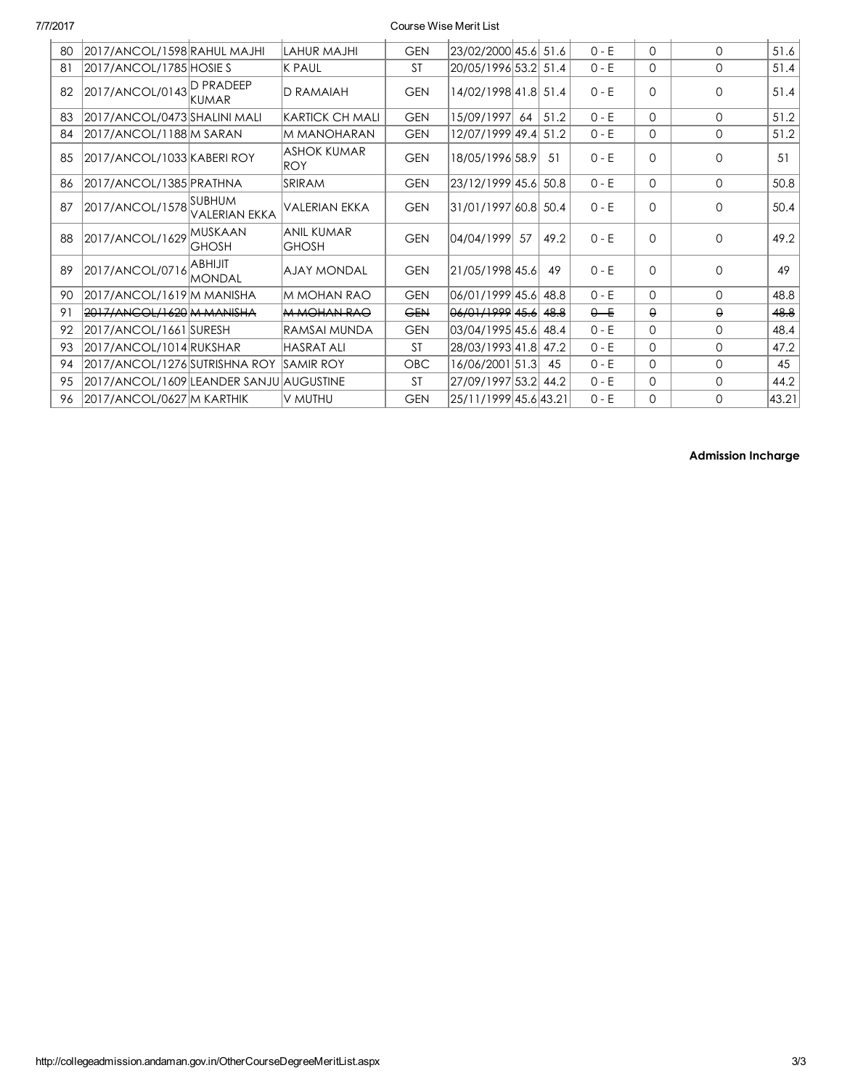| 80                               | 2017/ANCOL/1598 RAHUL MAJHI             |                                  | LAHUR MAJHI                       | <b>GEN</b>      | 23/02/2000 45.6       |    | 51.6    | $0 - E$  | $\Omega$    | $\Omega$ | 51.6  |
|----------------------------------|-----------------------------------------|----------------------------------|-----------------------------------|-----------------|-----------------------|----|---------|----------|-------------|----------|-------|
| 81                               | 2017/ANCOL/1785 HOSIE S                 |                                  | K PAUL                            | <b>ST</b>       | 20/05/1996 53.2       |    | 51.4    | $0 - E$  | $\mathbf 0$ | 0        | 51.4  |
| 82                               | 2017/ANCOL/0143 D PRADEEP               | <b>KUMAR</b>                     | <b>D RAMAIAH</b>                  | <b>GEN</b>      | 14/02/1998 41.8 51.4  |    |         | $0 - E$  | $\Omega$    | $\Omega$ | 51.4  |
| 83                               | 2017/ANCOL/0473 SHALINI MALI            |                                  | KARTICK CH MALI                   | <b>GEN</b>      | 15/09/1997            | 64 | 51.2    | $0 - E$  | 0           | $\Omega$ | 51.2  |
| 84                               | 2017/ANCOL/1188 M SARAN                 |                                  | M MANOHARAN                       | <b>GEN</b>      | 12/07/1999 49.4       |    | 51.2    | $0 - E$  | $\mathbf 0$ | 0        | 51.2  |
| 85<br>2017/ANCOL/1033 KABERI ROY |                                         | <b>ASHOK KUMAR</b><br>ROY        | <b>GEN</b>                        | 18/05/1996 58.9 |                       | 51 | $0 - E$ | $\Omega$ | $\Omega$    | 51       |       |
| 86                               | 2017/ANCOL/1385 PRATHNA                 |                                  | SRIRAM                            | <b>GEN</b>      | 23/12/1999 45.6       |    | 50.8    | $0 - E$  | $\Omega$    | $\Omega$ | 50.8  |
| 87                               | 2017/ANCOL/1578                         | .Isubhum<br><b>VALERIAN EKKA</b> | <b>VALERIAN EKKA</b>              | <b>GEN</b>      | 31/01/1997 60.8 50.4  |    |         | $0 - E$  | $\Omega$    | $\Omega$ | 50.4  |
| 88                               | 2017/ANCOL/1629                         | <b>MUSKAAN</b><br><b>GHOSH</b>   | <b>ANIL KUMAR</b><br><b>GHOSH</b> | <b>GEN</b>      | 04/04/1999            | 57 | 49.2    | $0 - E$  | $\Omega$    | $\Omega$ | 49.2  |
| 89                               | 2017/ANCOL/0716                         | <b>ABHIJIT</b><br><b>MONDAL</b>  | <b>AJAY MONDAL</b>                | <b>GEN</b>      | 21/05/1998 45.6       |    | 49      | $0 - E$  | $\Omega$    | 0        | 49    |
| 90                               | 2017/ANCOL/1619 M MANISHA               |                                  | IM MOHAN RAO                      | <b>GEN</b>      | 06/01/1999 45.6       |    | 48.8    | $0 - E$  | 0           | $\Omega$ | 48.8  |
| 91                               | 2017/ANCOL/1620 M MANISHA               |                                  | <b>M MOHAN RAO</b>                | <b>GEN</b>      | 06/01/1999 45.6       |    | 48.8    | $0 - E$  | $\theta$    | $\Theta$ | 48.8  |
| 92                               | 2017/ANCOL/1661 SURESH                  |                                  | RAMSAI MUNDA                      | <b>GEN</b>      | 03/04/1995 45.6       |    | 48.4    | $0 - E$  | 0           | $\Omega$ | 48.4  |
| 93                               | 2017/ANCOL/1014 RUKSHAR                 |                                  | <b>HASRAT ALI</b>                 | <b>ST</b>       | 28/03/1993 41.8       |    | 47.2    | $0 - E$  | $\Omega$    | $\Omega$ | 47.2  |
| 94                               | 2017/ANCOL/1276 SUTRISHNA ROY           |                                  | ISAMIR ROY                        | OBC             | 16/06/2001 51.3       |    | 45      | $0 - E$  | 0           | 0        | 45    |
| 95                               | 2017/ANCOL/1609 LEANDER SANJU AUGUSTINE |                                  |                                   | <b>ST</b>       | 27/09/1997 53.2       |    | 44.2    | $0 - E$  | 0           | $\Omega$ | 44.2  |
| 96                               | 2017/ANCOL/0627 M KARTHIK               |                                  | V MUTHU                           | <b>GEN</b>      | 25/11/1999 45.6 43.21 |    |         | $0 - E$  | $\Omega$    | $\Omega$ | 43.21 |

Admission Incharge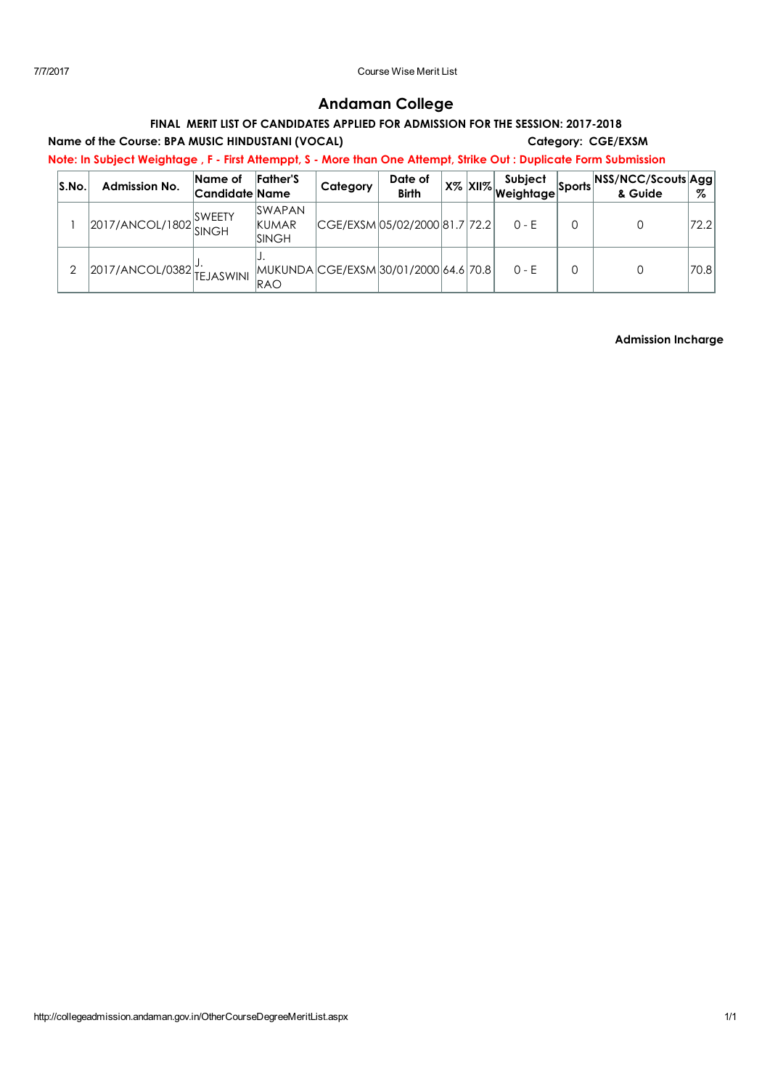# Andaman College

## FINAL MERIT LIST OF CANDIDATES APPLIED FOR ADMISSION FOR THE SESSION: 2017-2018

Name of the Course: BPA MUSIC HINDUSTANI (VOCAL) Category: CGE/EXSM

Note: In Subject Weightage , F - First Attemppt, S - More than One Attempt, Strike Out : Duplicate Form Submission

| S.No. | <b>Admission No.</b>      | Name of<br>Candidate Name | <b>Father's</b>                               | Category | Date of<br><b>Birth</b>                       |  | Subject<br>  X%   XII%   v-- ,<br>  Weightage   <sup>&gt;-</sup> . | <sup>-t</sup> Sports NSS/NCC/Scouts Agg<br>& Guide | %    |
|-------|---------------------------|---------------------------|-----------------------------------------------|----------|-----------------------------------------------|--|--------------------------------------------------------------------|----------------------------------------------------|------|
|       | 2017/ANCOL/1802           | <b>SWEETY</b>             | <b>SWAPAN</b><br><b>KUMAR</b><br><b>SINGH</b> |          | CGE/EXSM 05/02/2000 81.7 72.2                 |  | $0 - F$                                                            |                                                    | 72.2 |
| 2     | 2017/ANCOL/0382 TEJASWINI |                           | RAO                                           |          | MUKUNDA   CGE/EXSM   30/01/2000   64.6   70.8 |  | $0 - F$                                                            |                                                    | 70.8 |

Admission Incharge